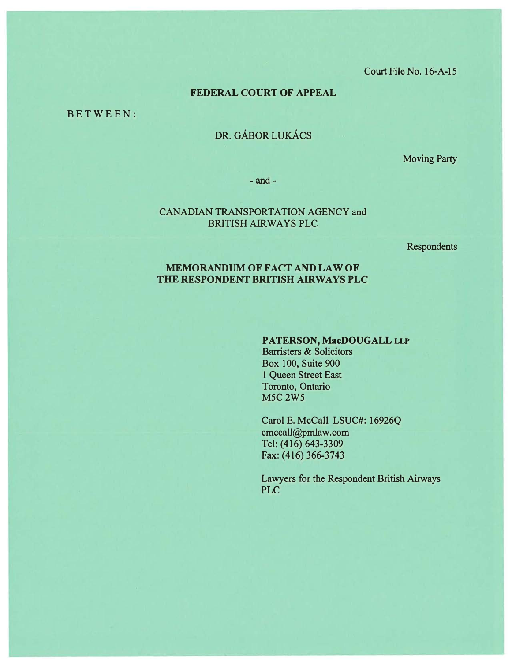Court File No. 16-A-15

## FEDERAL COURT OF APPEAL

B E T W EEN:

# DR. GÁBOR LUKÁCS

Moving Party

- and-

## CANADIAN TRANSPORTATION AGENCY and BRITISH AIR WAYS PLC

**Respondents** 

# MEMORANDUM OF FACT AND LAW OF THE RESPONDENT BRITISH AIRWAYS PLC

## PATERSON, MacDOUGALL LLP

Barristers & Solicitors Box 100, Suite 900 1 Queen Street East Toronto, Ontario M5C 2W5

Carol E. McCall LSUC#: 16926Q cmccall@pmlaw.com Tel: (416) 643-3309 Fax: (416) 366-3743

Lawyers for the Respondent British Airways PLC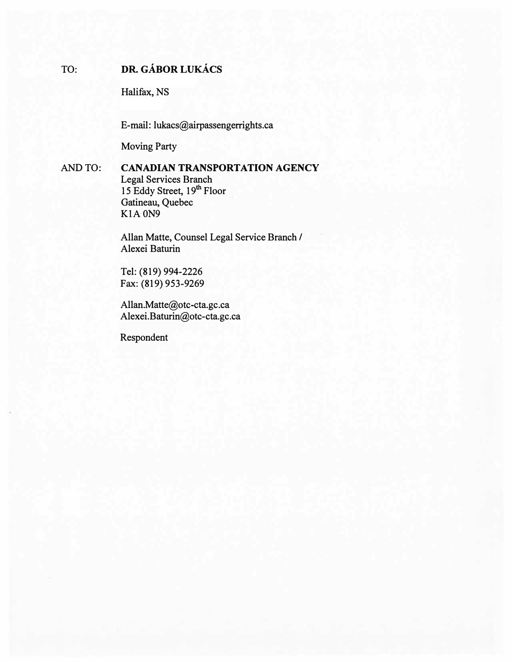# TO: **DR. GÁBOR LUKÁCS**

Halifax, NS

E-mail: lukacs@airpassengerrights.ca

Moving Party

AND TO: CANADIAN TRANSPORTATION AGENCY Legal Services Branch 15 Eddy Street, 19<sup>th</sup> Floor Gatineau, Quebec K<sub>1</sub>A<sub>0</sub>N<sub>9</sub>

> Allan Matte, Counsel Legal Service Branch / Alexei Baturin

Tel: (819) 994-2226 Fax: (819) 953-9269

Allan.Matte@otc-cta.gc.ca Alexei.Baturin@otc-cta.gc.ca

Respondent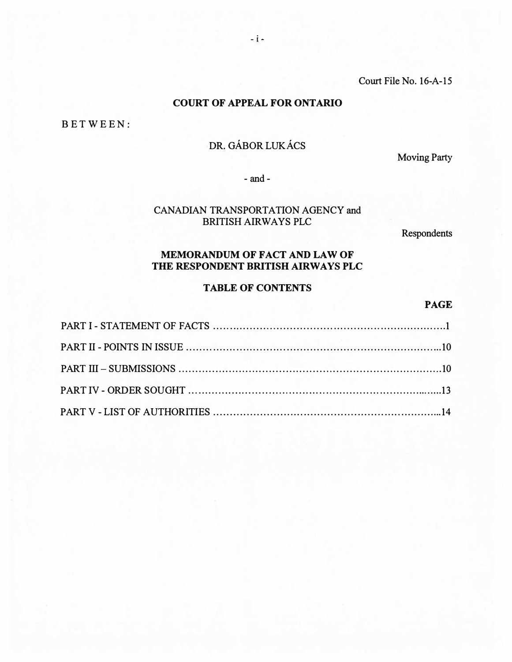Court File No. 16-A-15

# COURT OF APPEAL FOR ONTARIO

BET WEEN:

# DR. GÁBOR LUKÁCS

Moving Party

- and -

# CANADIAN TRANSPORTATION AGENCY and BRITISH AIRWAYS PLC

Respondents

# MEMORANDUM OF FACT AND LAW OF THE RESPONDENT BRITISH AIRWAYS PLC

# TABLE OF CONTENTS

# PAGE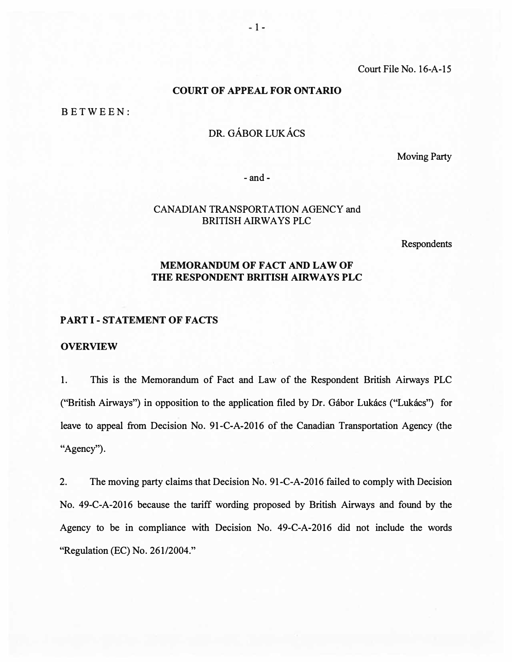Court File No. 16-A-15

## **COURT OF APPEAL FOR ONTARIO**

BETW EEN:

# DR. GÁBOR LUKÁCS

Moving Party

- and -

## CANADIAN TRANSPORTATION AGENCY and BRITISH AIRWAYS PLC

Respondents

# MEMORANDUM OF FACT AND LAW OF THE RESPONDENT BRITISH AIRWAYS PLC

## PART I-STATEMENT OF FACTS

#### **OVERVIEW**

1. This is the Memorandum of Fact and Law of the Respondent British Airways PLC ("British Airways") in opposition to the application filed by Dr. Gábor Lukács ("Lukács") for leave to appeal from Decision No. 91-C-A-2016 of the Canadian Transportation Agency (the "Agency").

2. The moving party claims that Decision No. 91-C-A-2016 failed to comply with Decision No. 49-C-A-2016 because the tariff wording proposed by British Airways and found by the Agency to be in compliance with Decision No. 49-C-A-2016 did not include the words "Regulation (EC) No. 261/2004."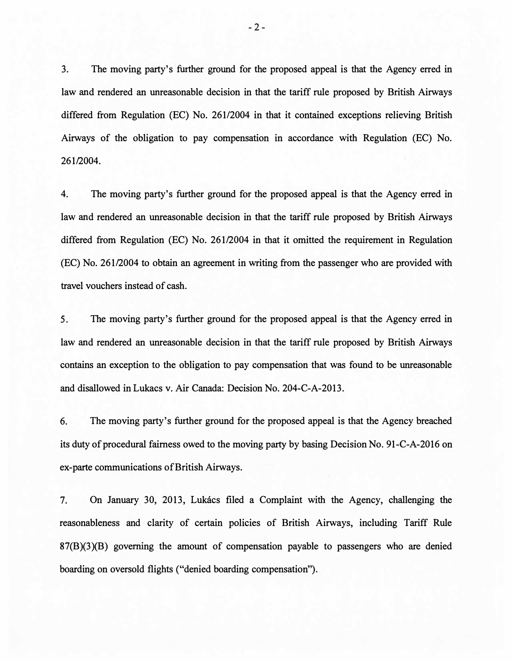3. The moving party's further ground for the proposed appeal is that the Agency erred in law and rendered an unreasonable decision in that the tariff rule proposed by British Airways differed from Regulation (EC) No. 261/2004 in that it contained exceptions relieving British Airways of the obligation to pay compensation in accordance with Regulation (EC) No. 261/2004.

4. The moving party's further ground for the proposed appeal is that the Agency erred in law and rendered an unreasonable decision in that the tariff rule proposed by British Airways differed from Regulation (EC) No. 261/2004 in that it omitted the requirement in Regulation (EC) No. 261/2004 to obtain an agreement in writing from the passenger who are provided with travel vouchers instead of cash.

5. The moving party's further ground for the proposed appeal is that the Agency erred in law and rendered an unreasonable decision in that the tariff rule proposed by British Airways contains an exception to the obligation to pay compensation that was found to be unreasonable and disallowed in Lukacs v. Air Canada: Decision No. 204-C-A-2013.

6. The moving party's further ground for the proposed appeal is that the Agency breached its duty of procedural fairness owed to the moving party by basing Decision No. 91-C-A-2016 on ex-parte communications of British Airways.

7. On January 30, 2013, Lukacs filed a Complaint with the Agency, challenging the reasonableness and clarity of certain policies of British Airways, including Tariff Rule 87(B)(3)(B) governing the amount of compensation payable to passengers who are denied boarding on oversold flights ("denied boarding compensation").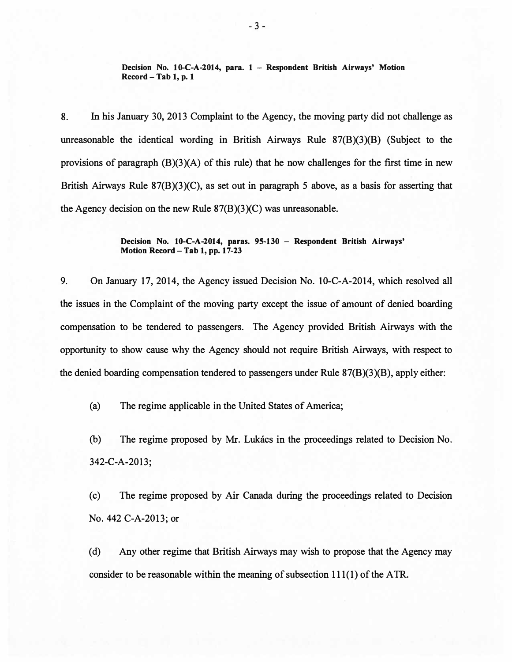Decision No. 10-C-A-2014, para. 1 - Respondent British Airways' Motion  $Record - Tab 1, p. 1$ 

8. In his January 30, 2013 Complaint to the Agency, the moving party did not challenge as unreasonable the identical wording in British Airways Rule 87(B)(3)(B) (Subject to the provisions of paragraph (B)(3)(A) of this rule) that he now challenges for the first time in new British Airways Rule 87(B)(3)(C), as set out in paragraph 5 above, as a basis for asserting that the Agency decision on the new Rule 87(B)(3)(C) was unreasonable.

#### Decision No. 10-C-A-2014, paras. 95-130 - Respondent British Airways' Motion Record - Tab 1, pp. 17-23

9. On January 17, 2014, the Agency issued Decision No. 10-C-A-2014, which resolved all the issues in the Complaint of the moving party except the issue of amount of denied boarding compensation to be tendered to passengers. The Agency provided British Airways with the opportunity to show cause why the Agency should not require British Airways, with respect to the denied boarding compensation tendered to passengers under Rule 87(B)(3)(B), apply either:

(a) The regime applicable in the United States of America;

(b) The regime proposed by Mr. Lukacs in the proceedings related to Decision No. 342-C-A-2013;

( c) The regime proposed by Air Canada during the proceedings related to Decision No. 442 C-A-2013; or

(d) Any other regime that British Airways may wish to propose that the Agency may consider to be reasonable within the meaning of subsection  $111(1)$  of the ATR.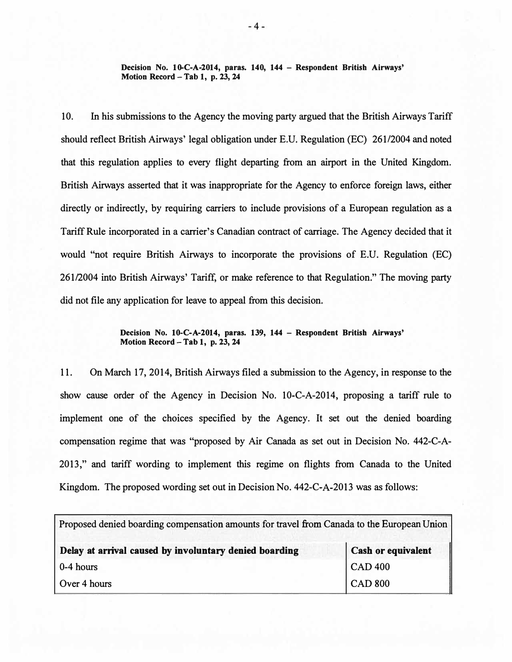Decision No. 10-C-A-2014, paras. 140, 144 - Respondent British Airways' Motion Record - Tab 1, p. 23, 24

10. In his submissions to the Agency the moving party argued that the British Airways Tariff should reflect British Airways' legal obligation under E.U. Regulation (EC) 261/2004 and noted that this regulation applies to every flight departing from an airport in the United Kingdom. British Airways asserted that it was inappropriate for the Agency to enforce foreign laws, either directly or indirectly, by requiring carriers to include provisions of a European regulation as a Tariff Rule incorporated in a carrier's Canadian contract of carriage. The Agency decided that it would "not require British Airways to incorporate the provisions of E.U. Regulation (EC) 261/2004 into British Airways' Tariff, or make reference to that Regulation." The moving party did not file any application for leave to appeal from this decision.

### Decision No. 10-C-A-2014, paras. 139, 144 - Respondent British Airways' Motion Record - Tab 1, p. 23, 24

11. On March 17, 2014, British Airways filed a submission to the Agency, in response to the show cause order of the Agency in Decision No. 10-C-A-2014, proposing a tariff rule to implement one of the choices specified by the Agency. It set out the denied boarding compensation regime that was "proposed by Air Canada as set out in Decision No. 442-C-A-2013," and tariff wording to implement this regime on flights from Canada to the United Kingdom. The proposed wording set out in Decision No. 442-C-A-2013 was as follows:

| Proposed denied boarding compensation amounts for travel from Canada to the European Union |                           |
|--------------------------------------------------------------------------------------------|---------------------------|
| Delay at arrival caused by involuntary denied boarding                                     | <b>Cash or equivalent</b> |
| $0-4$ hours                                                                                | <b>CAD 400</b>            |
| Over 4 hours                                                                               | <b>CAD 800</b>            |

- 4 -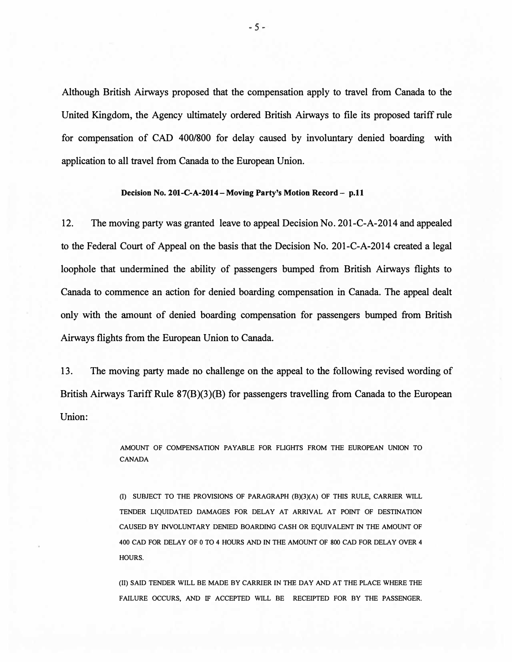Although British Airways proposed that the compensation apply to travel from Canada to the United Kingdom, the Agency ultimately ordered British Airways to file its proposed tariff rule for compensation of CAD 400/800 for delay caused by involuntary denied boarding with application to all travel from Canada to the European Union.

#### Decision No. 201-C-A-2014 - Moving Party's Motion Record - p.11

12. The moving party was granted leave to appeal Decision No. 201-C-A-2014 and appealed to the Federal Court of Appeal on the basis that the Decision No. 201-C-A-2014 created a legal loophole that undermined the ability of passengers bumped from British Airways flights to Canada to commence an action for denied boarding compensation in Canada. The appeal dealt only with the amount of denied boarding compensation for passengers bumped from British Airways flights from the European Union to Canada.

13. The moving party made no challenge on the appeal to the following revised wording of British Airways Tariff Rule 87(B)(3)(B) for passengers travelling from Canada to the European Union:

> AMOUNT OF COMPENSATION PAYABLE FOR FLIGIITS FROM THE EUROPEAN UNION TO CANADA

> (I) SUBJECT TO THE PROVISIONS OF PARAGRAPH (B)(3)(A) OF THIS RULE, CARRIER WILL TENDER LIQUIDATED DAMAGES FOR DELAY AT ARRIVAL AT POINT OF DESTINATION CAUSED BY INVOLUNTARY DENIED BOARDING CASH OR EQUIVALENT IN THE AMOUNT OF 400 CAD FOR DELAY OF 0 TO 4 HOURS AND IN THE AMOUNT OF 800 CAD FOR DELAY OVER 4 HOURS.

> (II) SAID TENDER WILL BE MADE BY CARRIER IN THE DAY AND AT THE PLACE WHERE THE FAILURE OCCURS, AND IF ACCEPTED WILL BE RECEIPTED FOR BY THE PASSENGER.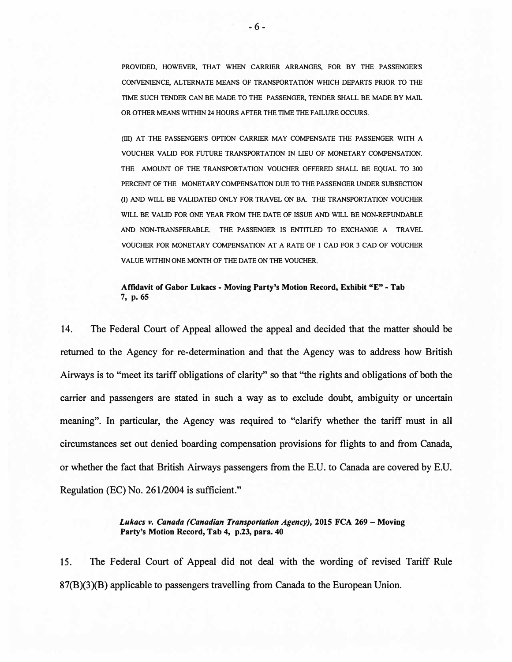PROVIDED, HOWEVER, THAT WHEN CARRIER ARRANGES, FOR BY THE PASSENGER'S CONVENIENCE, ALTERNATE MEANS OF TRANSPORTATION WHICH DEPARTS PRIOR TO THE TIME SUCH TENDER CAN BE MADE TO THE PASSENGER, TENDER SHALL BE MADE BY MAIL OR OTHER MEANS WITHIN 24 HOURS AFTER THE TIME THE FAILURE OCCURS.

(III) AT THE PASSENGER'S OPTION CARRIER MAY COMPENSATE THE PASSENGER WITH A VOUCHER VALID FOR FUTURE TRANSPORTATION IN LIEU OF MONETARY COMPENSATION. THE AMOUNT OF THE TRANSPORTATION VOUCHER OFFERED SHALL BE EQUAL TO 300 PERCENT OF THE MONETARY COMPENSATION DUE TO THE PASSENGER UNDER SUBSECTION (I) AND WILL BE VALIDATED ONLY FOR TRAVEL ON BA. THE TRANSPORTATION VOUCHER WILL BE VALID FOR ONE YEAR FROM THE DATE OF ISSUE AND WILL BE NON-REFUNDABLE AND NON-TRANSFERABLE. THE PASSENGER IS ENTITLED TO EXCHANGE A TRAVEL VOUCHER FOR MONETARY COMPENSATION AT A RATE OF l CAD FOR 3 CAD OF VOUCHER VALUE WITHIN ONE MONTH OF THE DATE ON THE VOUCHER.

### Affidavit of Gabor Lukacs - Moving Party's Motion Record, Exhibit "E" - Tab 7, p. 65

14. The Federal Court of Appeal allowed the appeal and decided that the matter should be returned to the Agency for re-determination and that the Agency was to address how British Airways is to "meet its tariff obligations of clarity" so that "the rights and obligations of both the carrier and passengers are stated in such a way as to exclude doubt, ambiguity or uncertain meaning". In particular, the Agency was required to "clarify whether the tariff must in all circumstances set out denied boarding compensation provisions for flights to and from Canada, or whether the fact that British Airways passengers from the E.U. to Canada are covered by E.U. Regulation (EC) No. 261/2004 is sufficient."

> Lukacs v. Canada (Canadian Transportation Agency), 2015 FCA 269 - Moving Party's Motion Record, Tab 4, p.23, para. 40

15. The Federal Court of Appeal did not deal with the wording of revised Tariff Rule 87(B)(3)(B) applicable to passengers travelling from Canada to the European Union.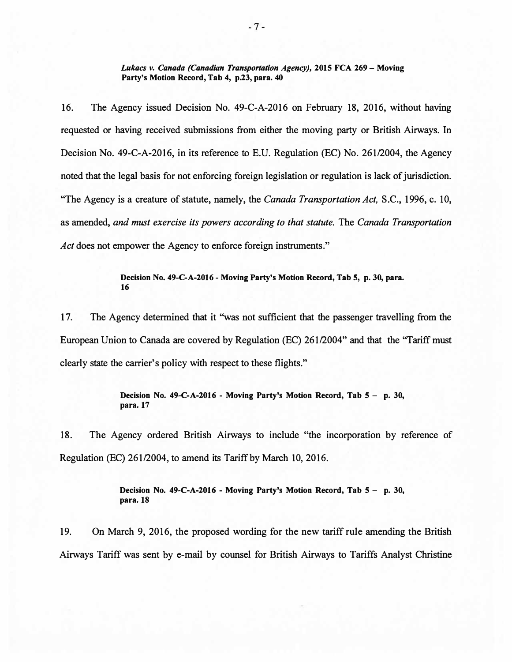Lukacs v. Canada (Canadian Transportation Agency), 2015 FCA 269 - Moving Party's Motion Record, Tab 4, p.23, para. 40

16. The Agency issued Decision No. 49-C-A-2016 on February 18, 2016, without having requested or having received submissions from either the moving party or British Airways. In Decision No. 49-C-A-2016, in its reference to E.U. Regulation (EC) No. 261/2004, the Agency noted that the legal basis for not enforcing foreign legislation or regulation is lack of jurisdiction. "The Agency is a creature of statute, namely, the Canada Transportation Act, S.C., 1996, c. 10, as amended, and must exercise its powers according to that statute. The Canada Transportation Act does not empower the Agency to enforce foreign instruments."

### Decision No. 49-C-A -2016 - Moving Party's Motion Record, Tab S, p. 30, para. 16

17. The Agency determined that it "was not sufficient that the passenger travelling from the European Union to Canada are covered by Regulation (EC) 261/2004" and that the "Tariff must clearly state the carrier's policy with respect to these flights."

> Decision No. 49-C-A-2016 - Moving Party's Motion Record, Tab 5 - p. 30, para. 17

18. The Agency ordered British Airways to include ''the incorporation by reference of Regulation (EC) 261/2004, to amend its Tariff by March 10, 2016.

> Decision No. 49-C-A -2016 - Moving Party's Motion Record, Tab 5 - p. 30, para. 18

19. On March 9, 2016, the proposed wording for the new tariff rule amending the British Airways Tariff was sent by e-mail by counsel for British Airways to Tariffs Analyst Christine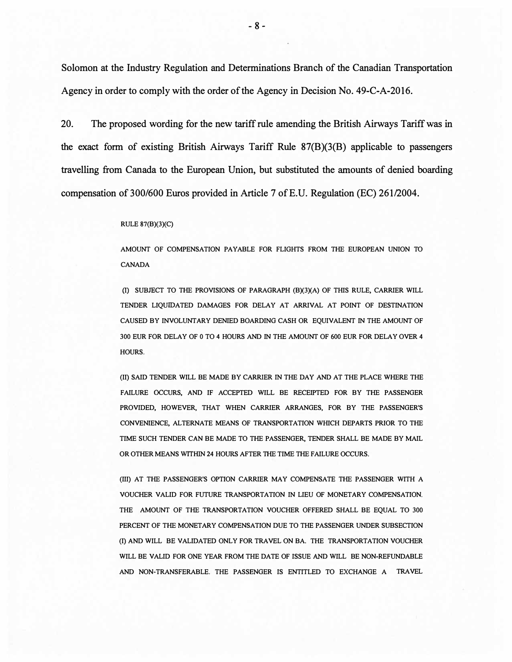Solomon at the Industry Regulation and Determinations Branch of the Canadian Transportation Agency in order to comply with the order of the Agency in Decision No. 49-C-A-2016.

20. The proposed wording for the new tariff rule amending the British Airways Tariff was in the exact form of existing British Airways Tariff Rule 87(B)(3(B) applicable to passengers travelling from Canada to the European Union, but substituted the amounts of denied boarding compensation of 300/600 Euros provided in Article 7 of E.U. Regulation (EC) 261/2004.

#### RULE 87(B)(3)(C)

AMOUNT OF COMPENSATION PAYABLE FOR FLIGHTS FROM THE EUROPEAN UNION TO CANADA

(I) SUBJECT TO THE PROVISIONS OF PARAGRAPH (B)(3)(A) OF THIS RULE, CARRIER WILL TENDER LIQUIDATED DAMAGES FOR DELAY AT ARRIVAL AT POINT OF DESTINATION CAUSED BY INVOLUNTARY DENIED BOARDING CASH OR EQUIVALENT IN THE AMOUNT OF 300 EUR FOR DELAY OF 0 TO 4 HOURS AND IN THE AMOUNT OF 600 EUR FOR DELAY OVER 4 HOURS.

(II) SAID TENDER WILL BE MADE BY CARRIER IN THE DAY AND AT THE PLACE WHERE THE FAILURE OCCURS, AND IF ACCEPTED WILL BE RECEIPTED FOR BY THE PASSENGER PROVIDED, HOWEVER, THAT WHEN CARRIER ARRANGES, FOR BY THE PASSENGER'S CONVENIENCE, ALTERNATE MEANS OF TRANSPORTATION WHICH DEPARTS PRIOR TO THE TIME SUCH TENDER CAN BE MADE TO THE PASSENGER, TENDER SHALL BE MADE BY MAIL OR OTHER MEANS WITHIN 24 HOURS AFTER THE TIME THE FAILURE OCCURS.

(III) AT THE PASSENGER'S OPTION CARRIER MAY COMPENSATE THE PASSENGER WITH A VOUCHER VALID FOR FUTURE TRANSPORTATION IN LIEU OF MONETARY COMPENSATION. THE AMOUNT OF THE TRANSPORTATION VOUCHER OFFERED SHALL BE EQUAL TO 300 PERCENT OF THE MONETARY COMPENSATION DUE TO THE PASSENGER UNDER SUBSECTION (I) AND WILL BE VALIDATED ONLY FOR TRAVEL ON BA. THE TRANSPORTATION VOUCHER WILL BE VALID FOR ONE YEAR FROM THE DATE OF ISSUE AND WILL BE NON-REFUNDABLE AND NON-TRANSFERABLE. THE PASSENGER IS ENTITLED TO EXCHANGE A TRAVEL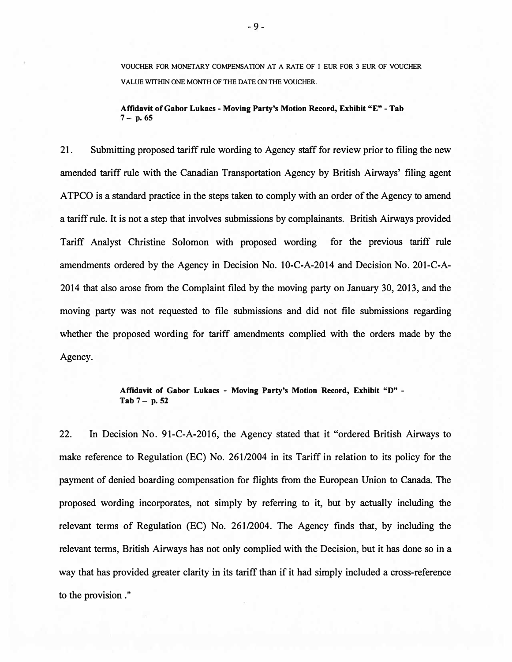VOUCHER FOR MONETARY COMPENSATION AT A RATE OF 1 EUR FOR 3 EUR OF VOUCHER VALUE WITHIN ONE MONTH OF THE DATE ON THE VOUCHER.

Affidavit of Gabor Lukacs -Moving Party's Motion Record, Exhibit "E" - Tab  $7 - p. 65$ 

21. Submitting proposed tariff rule wording to Agency staff for review prior to filing the new amended tariff rule with the Canadian Transportation Agency by British Airways' filing agent ATPCO is a standard practice in the steps taken to comply with an order of the Agency to amend a tariff rule. It is not a step that involves submissions by complainants. British Airways provided Tariff Analyst Christine Solomon with proposed wording for the previous tariff rule amendments ordered by the Agency in Decision No. 10-C-A-2014 and Decision No. 201-C-A-2014 that also arose from the Complaint filed by the moving party on January 30, 2013, and the moving party was not requested to file submissions and did not file submissions regarding whether the proposed wording for tariff amendments complied with the orders made by the Agency.

### Affidavit of Gabor Lukacs - Moving Party's Motion Record, Exhibit "D" -  $Tab 7 - p. 52$

22. In Decision No. 91-C-A-2016, the Agency stated that it "ordered British Airways to make reference to Regulation (EC) No. 261/2004 in its Tariff in relation to its policy for the payment of denied boarding compensation for flights from the European Union to Canada. The proposed wording incorporates, not simply by referring to it, but by actually including the relevant terms of Regulation (EC) No. 261/2004. The Agency finds that, by including the relevant terms, British Airways has not only complied with the Decision, but it has done so in a way that has provided greater clarity in its tariff than if it had simply included a cross-reference to the provision . "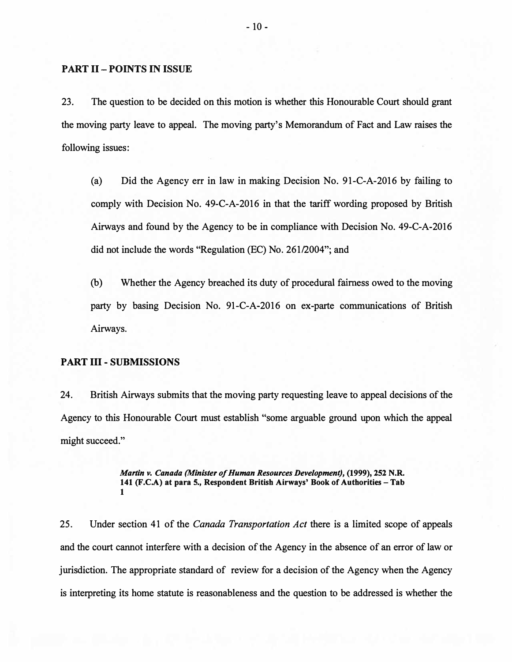### PART II- POINTS IN ISSUE

23. The question to be decided on this motion is whether this Honourable Court should grant the moving party leave to appeal. The moving party's Memorandum of Fact and Law raises the following issues:

(a) Did the Agency err in law in making Decision No. 91-C-A-2016 by failing to comply with Decision No. 49-C-A-2016 in that the tariff wording proposed by British Airways and found by the Agency to be in compliance with Decision No. 49-C-A-2016 did not include the words "Regulation (EC) No. 261/2004"; and

(b) Whether the Agency breached its duty of procedural fairness owed to the moving party by basing Decision No. 91-C-A-2016 on ex-parte communications of British Airways.

#### PART III -SUBMISSIONS

24. British Airways submits that the moving party requesting leave to appeal decisions of the Agency to this Honourable Court must establish "some arguable ground upon which the appeal might succeed."

> Martin v. Canada (Minister of Human Resources Development), (1999), 252 N.R. 141 (F.C.A) at para 5., Respondent British Airways' Book of Authorities - Tab 1

25. Under section 41 of the *Canada Transportation Act* there is a limited scope of appeals and the court cannot interfere with a decision of the Agency in the absence of an error of law or jurisdiction. The appropriate standard of review for a decision of the Agency when the Agency is interpreting its home statute is reasonableness and the question to be addressed is whether the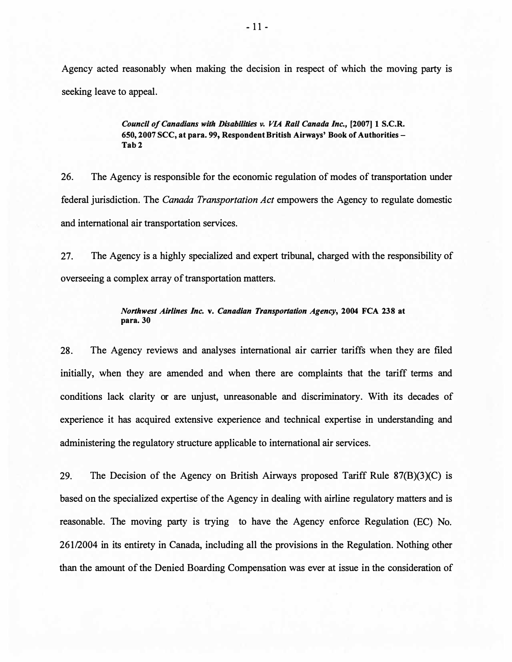Agency acted reasonably when making the decision in respect of which the moving party is seeking leave to appeal.

> Council of Canadians with Disabilities v. VIA Rail Canada Inc., [2007] 1 S.C.R. 650, 2007 SCC, at para. 99, Respondent British Airways' Book of Authorities - Tab 2

26. The Agency is responsible for the economic regulation of modes of transportation under federal jurisdiction. The Canada Transportation Act empowers the Agency to regulate domestic and international air transportation services.

27. The Agency is a highly specialized and expert tribunal, charged with the responsibility of overseeing a complex array of transportation matters.

#### Northwest Airlines Inc. v. Canadian Transportation Agency, 2004 FCA 238 at para. 30

28. The Agency reviews and analyses international air carrier tariffs when they are filed initially, when they are amended and when there are complaints that the tariff terms and conditions lack clarity or are unjust, unreasonable and discriminatory. With its decades of experience it has acquired extensive experience and technical expertise in understanding and administering the regulatory structure applicable to international air services.

29. The Decision of the Agency on British Airways proposed Tariff Rule  $87(B)(3)(C)$  is based on the specialized expertise of the Agency in dealing with airline regulatory matters and is reasonable. The moving party is trying to have the Agency enforce Regulation (EC) No. 261/2004 in its entirety in Canada, including all the provisions in the Regulation. Nothing other than the amount of the Denied Boarding Compensation was ever at issue in the consideration of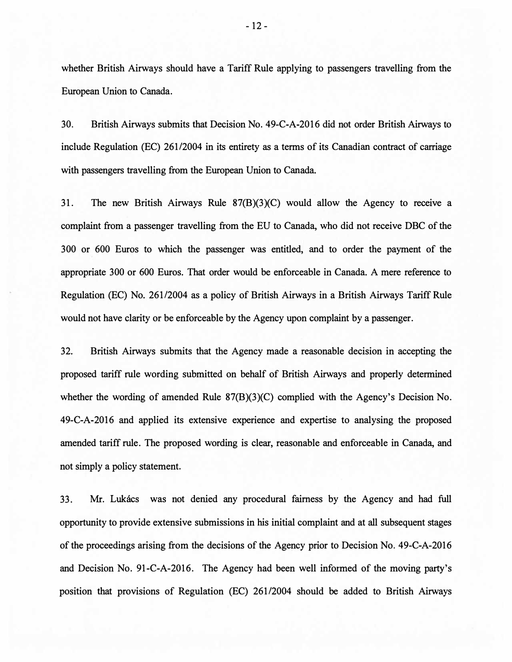whether British Airways should have a Tariff Rule applying to passengers travelling from the European Union to Canada.

30. British Airways submits that Decision No. 49-C-A-2016 did not order British Airways to include Regulation (EC) 261/2004 in its entirety as a terms of its Canadian contract of carriage with passengers travelling from the European Union to Canada.

31. The new British Airways Rule 87(B)(3)(C) would allow the Agency to receive a complaint from a passenger travelling from the EU to Canada, who did not receive DBC of the 300 or 600 Euros to which the passenger was entitled, and to order the payment of the appropriate 300 or 600 Euros. That order would be enforceable in Canada. A mere reference to Regulation (EC) No. 261/2004 as a policy of British Airways in a British Airways Tariff Rule would not have clarity or be enforceable by the Agency upon complaint by a passenger.

32. British Airways submits that the Agency made a reasonable decision in accepting the proposed tariff rule wording submitted on behalf of British Airways and properly determined whether the wording of amended Rule 87(B)(3)(C) complied with the Agency's Decision No. 49-C-A-2016 and applied its extensive experience and expertise to analysing the proposed amended tariff rule. The proposed wording is clear, reasonable and enforceable in Canada, and not simply a policy statement.

33. Mr. Lukacs was not denied any procedural fairness by the Agency and had full opportunity to provide extensive submissions in his initial complaint and at all subsequent stages of the proceedings arising from the decisions of the Agency prior to Decision No. 49-C-A-2016 and Decision No. 91-C-A-2016. The Agency had been well informed of the moving party's position that provisions of Regulation (EC) 26112004 should be added to British Airways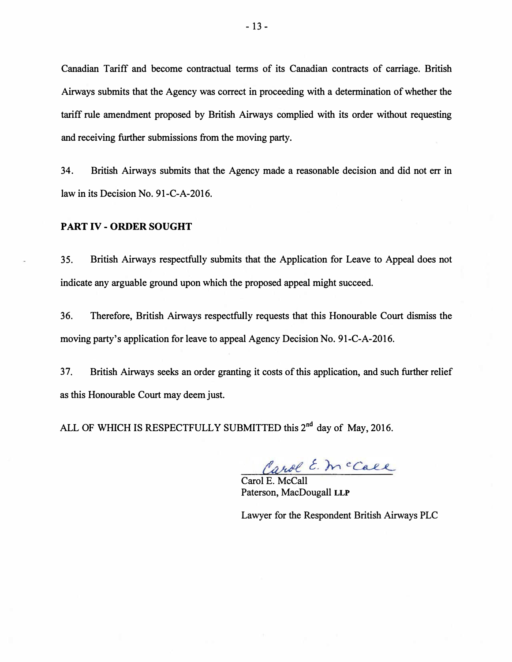Canadian Tariff and become contractual terms of its Canadian contracts of carriage. British Airways submits that the Agency was correct in proceeding with a determination of whether the tariff rule amendment proposed by British Airways complied with its order without requesting and receiving further submissions from the moving party.

34. British Airways submits that the Agency made a reasonable decision and did not err in law in its Decision No. 91-C-A-2016.

## PART IV - ORDER SOUGHT

35. British Airways respectfully submits that the Application for Leave to Appeal does not indicate any arguable ground upon which the proposed appeal might succeed.

36. Therefore, British Airways respectfully requests that this Honourable Court dismiss the moving party's application for leave to appeal Agency Decision No. 91-C-A-2016.

37. British Airways seeks an order granting it costs of this application, and such further relief as this Honourable Court may deem just.

ALL OF WHICH IS RESPECTFULLY SUBMITTED this 2<sup>nd</sup> day of May, 2016.

Carol E. mccall

Paterson, MacDougall LLP

Lawyer for the Respondent British Airways PLC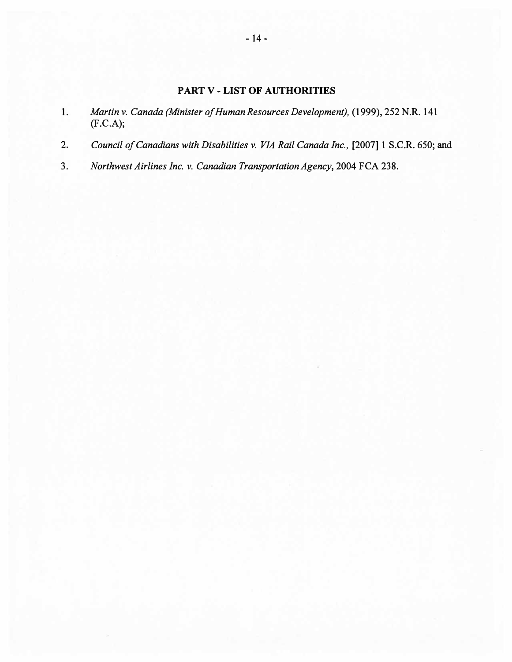# PART V - LIST OF AUTHORITIES

- 1. Martin v. Canada (Minister of Human Resources Development), (1999), 252 N.R. 141 (F.C.A);
- 2. Council of Canadians with Disabilities v. VIA Rail Canada Inc., [2007] 1 S.C.R. 650; and
- 3. Northwest Airlines Inc. v. Canadian Transportation Agency, 2004 FCA 238.